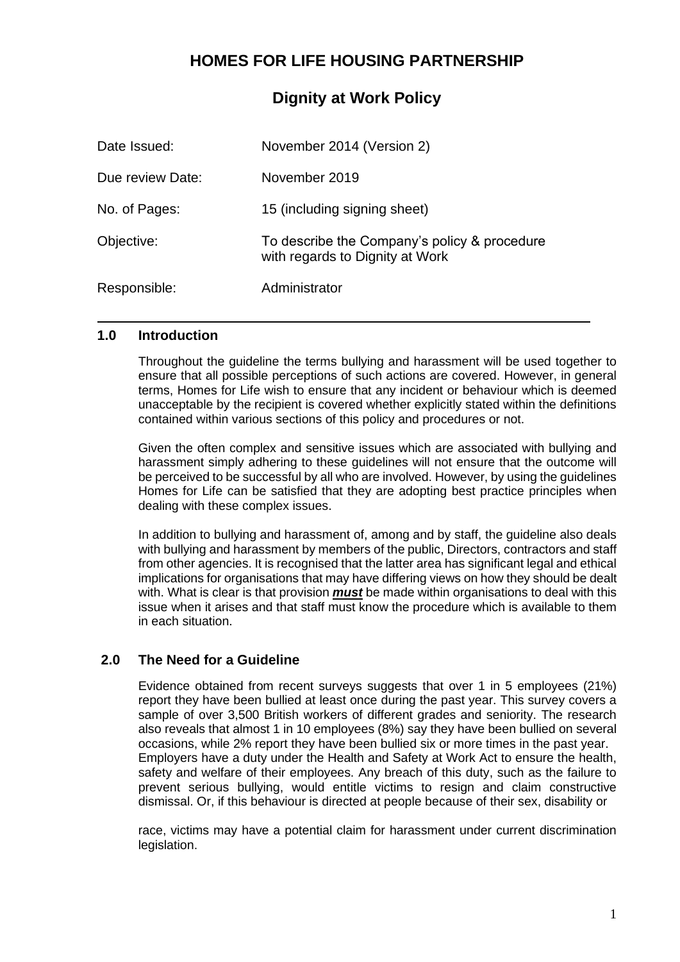## **HOMES FOR LIFE HOUSING PARTNERSHIP**

## **Dignity at Work Policy**

| Date Issued:     | November 2014 (Version 2)                                                       |
|------------------|---------------------------------------------------------------------------------|
| Due review Date: | November 2019                                                                   |
| No. of Pages:    | 15 (including signing sheet)                                                    |
| Objective:       | To describe the Company's policy & procedure<br>with regards to Dignity at Work |
| Responsible:     | Administrator                                                                   |

#### **1.0 Introduction**

Throughout the guideline the terms bullying and harassment will be used together to ensure that all possible perceptions of such actions are covered. However, in general terms, Homes for Life wish to ensure that any incident or behaviour which is deemed unacceptable by the recipient is covered whether explicitly stated within the definitions contained within various sections of this policy and procedures or not.

Given the often complex and sensitive issues which are associated with bullying and harassment simply adhering to these guidelines will not ensure that the outcome will be perceived to be successful by all who are involved. However, by using the guidelines Homes for Life can be satisfied that they are adopting best practice principles when dealing with these complex issues.

In addition to bullying and harassment of, among and by staff, the guideline also deals with bullying and harassment by members of the public, Directors, contractors and staff from other agencies. It is recognised that the latter area has significant legal and ethical implications for organisations that may have differing views on how they should be dealt with. What is clear is that provision *must* be made within organisations to deal with this issue when it arises and that staff must know the procedure which is available to them in each situation.

## **2.0 The Need for a Guideline**

Evidence obtained from recent surveys suggests that over 1 in 5 employees (21%) report they have been bullied at least once during the past year. This survey covers a sample of over 3,500 British workers of different grades and seniority. The research also reveals that almost 1 in 10 employees (8%) say they have been bullied on several occasions, while 2% report they have been bullied six or more times in the past year. Employers have a duty under the Health and Safety at Work Act to ensure the health, safety and welfare of their employees. Any breach of this duty, such as the failure to prevent serious bullying, would entitle victims to resign and claim constructive dismissal. Or, if this behaviour is directed at people because of their sex, disability or

race, victims may have a potential claim for harassment under current discrimination legislation.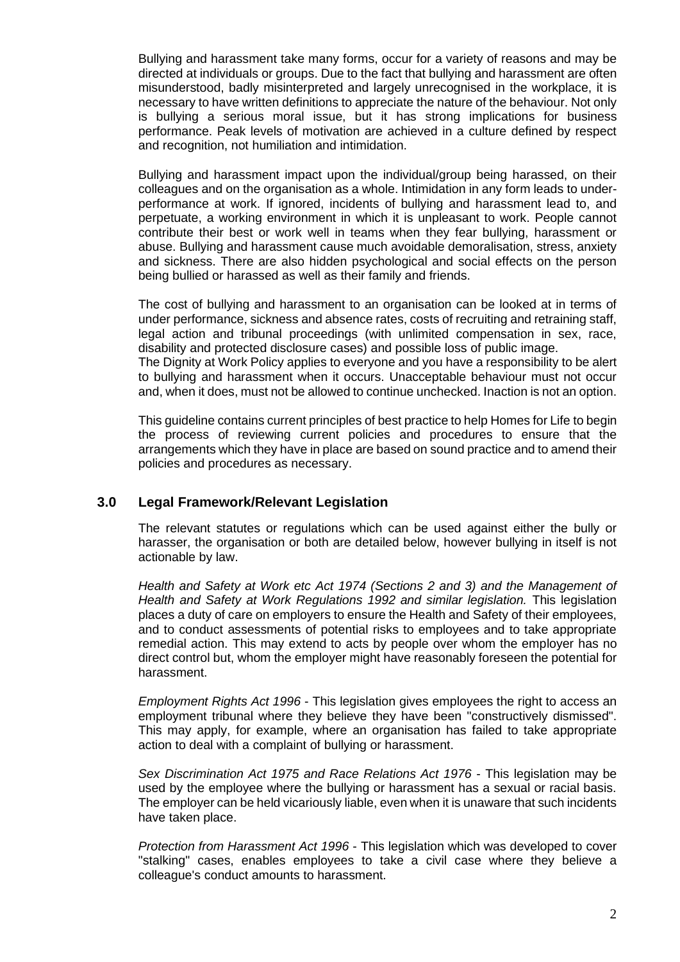Bullying and harassment take many forms, occur for a variety of reasons and may be directed at individuals or groups. Due to the fact that bullying and harassment are often misunderstood, badly misinterpreted and largely unrecognised in the workplace, it is necessary to have written definitions to appreciate the nature of the behaviour. Not only is bullying a serious moral issue, but it has strong implications for business performance. Peak levels of motivation are achieved in a culture defined by respect and recognition, not humiliation and intimidation.

Bullying and harassment impact upon the individual/group being harassed, on their colleagues and on the organisation as a whole. Intimidation in any form leads to underperformance at work. If ignored, incidents of bullying and harassment lead to, and perpetuate, a working environment in which it is unpleasant to work. People cannot contribute their best or work well in teams when they fear bullying, harassment or abuse. Bullying and harassment cause much avoidable demoralisation, stress, anxiety and sickness. There are also hidden psychological and social effects on the person being bullied or harassed as well as their family and friends.

The cost of bullying and harassment to an organisation can be looked at in terms of under performance, sickness and absence rates, costs of recruiting and retraining staff, legal action and tribunal proceedings (with unlimited compensation in sex, race, disability and protected disclosure cases) and possible loss of public image. The Dignity at Work Policy applies to everyone and you have a responsibility to be alert to bullying and harassment when it occurs. Unacceptable behaviour must not occur and, when it does, must not be allowed to continue unchecked. Inaction is not an option.

This guideline contains current principles of best practice to help Homes for Life to begin the process of reviewing current policies and procedures to ensure that the arrangements which they have in place are based on sound practice and to amend their policies and procedures as necessary.

#### **3.0 Legal Framework/Relevant Legislation**

The relevant statutes or regulations which can be used against either the bully or harasser, the organisation or both are detailed below, however bullying in itself is not actionable by law.

*Health and Safety at Work etc Act 1974 (Sections 2 and 3) and the Management of Health and Safety at Work Regulations 1992 and similar legislation.* This legislation places a duty of care on employers to ensure the Health and Safety of their employees, and to conduct assessments of potential risks to employees and to take appropriate remedial action. This may extend to acts by people over whom the employer has no direct control but, whom the employer might have reasonably foreseen the potential for harassment.

*Employment Rights Act 1996* - This legislation gives employees the right to access an employment tribunal where they believe they have been "constructively dismissed". This may apply, for example, where an organisation has failed to take appropriate action to deal with a complaint of bullying or harassment.

*Sex Discrimination Act 1975 and Race Relations Act 1976* - This legislation may be used by the employee where the bullying or harassment has a sexual or racial basis. The employer can be held vicariously liable, even when it is unaware that such incidents have taken place.

*Protection from Harassment Act 1996* - This legislation which was developed to cover "stalking" cases, enables employees to take a civil case where they believe a colleague's conduct amounts to harassment.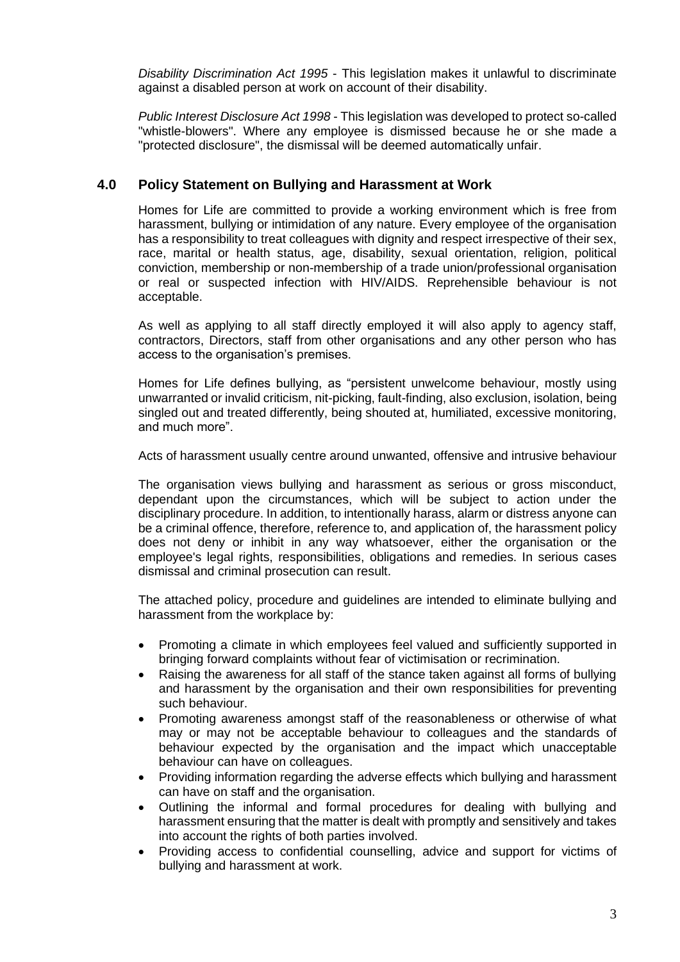*Disability Discrimination Act 1995* - This legislation makes it unlawful to discriminate against a disabled person at work on account of their disability.

*Public Interest Disclosure Act 1998* - This legislation was developed to protect so-called "whistle-blowers". Where any employee is dismissed because he or she made a "protected disclosure", the dismissal will be deemed automatically unfair.

### **4.0 Policy Statement on Bullying and Harassment at Work**

Homes for Life are committed to provide a working environment which is free from harassment, bullying or intimidation of any nature. Every employee of the organisation has a responsibility to treat colleagues with dignity and respect irrespective of their sex, race, marital or health status, age, disability, sexual orientation, religion, political conviction, membership or non-membership of a trade union/professional organisation or real or suspected infection with HIV/AIDS. Reprehensible behaviour is not acceptable.

As well as applying to all staff directly employed it will also apply to agency staff, contractors, Directors, staff from other organisations and any other person who has access to the organisation's premises.

Homes for Life defines bullying, as "persistent unwelcome behaviour, mostly using unwarranted or invalid criticism, nit-picking, fault-finding, also exclusion, isolation, being singled out and treated differently, being shouted at, humiliated, excessive monitoring, and much more".

Acts of harassment usually centre around unwanted, offensive and intrusive behaviour

The organisation views bullying and harassment as serious or gross misconduct, dependant upon the circumstances, which will be subject to action under the disciplinary procedure. In addition, to intentionally harass, alarm or distress anyone can be a criminal offence, therefore, reference to, and application of, the harassment policy does not deny or inhibit in any way whatsoever, either the organisation or the employee's legal rights, responsibilities, obligations and remedies. In serious cases dismissal and criminal prosecution can result.

The attached policy, procedure and guidelines are intended to eliminate bullying and harassment from the workplace by:

- Promoting a climate in which employees feel valued and sufficiently supported in bringing forward complaints without fear of victimisation or recrimination.
- Raising the awareness for all staff of the stance taken against all forms of bullying and harassment by the organisation and their own responsibilities for preventing such behaviour.
- Promoting awareness amongst staff of the reasonableness or otherwise of what may or may not be acceptable behaviour to colleagues and the standards of behaviour expected by the organisation and the impact which unacceptable behaviour can have on colleagues.
- Providing information regarding the adverse effects which bullying and harassment can have on staff and the organisation.
- Outlining the informal and formal procedures for dealing with bullying and harassment ensuring that the matter is dealt with promptly and sensitively and takes into account the rights of both parties involved.
- Providing access to confidential counselling, advice and support for victims of bullying and harassment at work.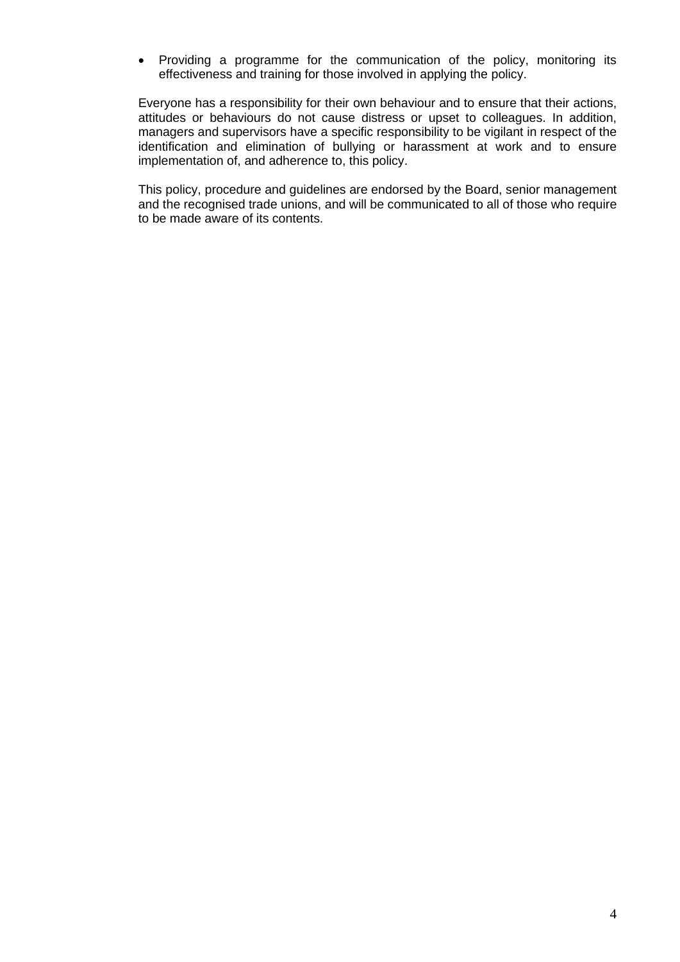• Providing a programme for the communication of the policy, monitoring its effectiveness and training for those involved in applying the policy.

Everyone has a responsibility for their own behaviour and to ensure that their actions, attitudes or behaviours do not cause distress or upset to colleagues. In addition, managers and supervisors have a specific responsibility to be vigilant in respect of the identification and elimination of bullying or harassment at work and to ensure implementation of, and adherence to, this policy.

This policy, procedure and guidelines are endorsed by the Board, senior management and the recognised trade unions, and will be communicated to all of those who require to be made aware of its contents.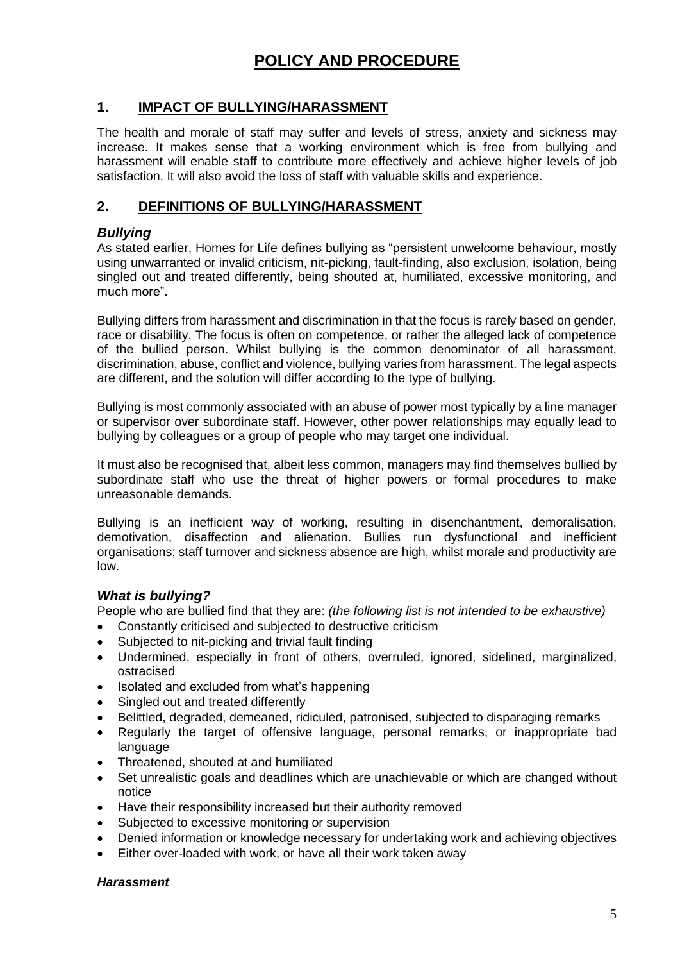## **POLICY AND PROCEDURE**

## **1. IMPACT OF BULLYING/HARASSMENT**

The health and morale of staff may suffer and levels of stress, anxiety and sickness may increase. It makes sense that a working environment which is free from bullying and harassment will enable staff to contribute more effectively and achieve higher levels of job satisfaction. It will also avoid the loss of staff with valuable skills and experience.

## **2. DEFINITIONS OF BULLYING/HARASSMENT**

### *Bullying*

As stated earlier, Homes for Life defines bullying as "persistent unwelcome behaviour, mostly using unwarranted or invalid criticism, nit-picking, fault-finding, also exclusion, isolation, being singled out and treated differently, being shouted at, humiliated, excessive monitoring, and much more".

Bullying differs from harassment and discrimination in that the focus is rarely based on gender, race or disability. The focus is often on competence, or rather the alleged lack of competence of the bullied person. Whilst bullying is the common denominator of all harassment, discrimination, abuse, conflict and violence, bullying varies from harassment. The legal aspects are different, and the solution will differ according to the type of bullying.

Bullying is most commonly associated with an abuse of power most typically by a line manager or supervisor over subordinate staff. However, other power relationships may equally lead to bullying by colleagues or a group of people who may target one individual.

It must also be recognised that, albeit less common, managers may find themselves bullied by subordinate staff who use the threat of higher powers or formal procedures to make unreasonable demands.

Bullying is an inefficient way of working, resulting in disenchantment, demoralisation, demotivation, disaffection and alienation. Bullies run dysfunctional and inefficient organisations; staff turnover and sickness absence are high, whilst morale and productivity are low.

## *What is bullying?*

People who are bullied find that they are: *(the following list is not intended to be exhaustive)*

- Constantly criticised and subjected to destructive criticism
- Subjected to nit-picking and trivial fault finding
- Undermined, especially in front of others, overruled, ignored, sidelined, marginalized, ostracised
- Isolated and excluded from what's happening
- Singled out and treated differently
- Belittled, degraded, demeaned, ridiculed, patronised, subjected to disparaging remarks
- Regularly the target of offensive language, personal remarks, or inappropriate bad language
- Threatened, shouted at and humiliated
- Set unrealistic goals and deadlines which are unachievable or which are changed without notice
- Have their responsibility increased but their authority removed
- Subjected to excessive monitoring or supervision
- Denied information or knowledge necessary for undertaking work and achieving objectives
- Either over-loaded with work, or have all their work taken away

#### *Harassment*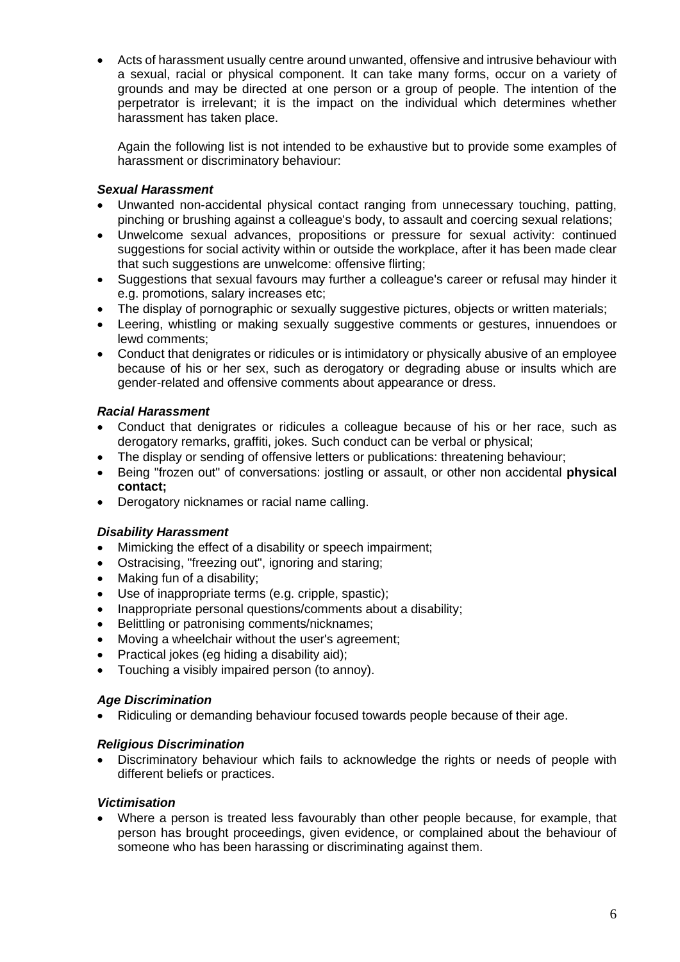• Acts of harassment usually centre around unwanted, offensive and intrusive behaviour with a sexual, racial or physical component. It can take many forms, occur on a variety of grounds and may be directed at one person or a group of people. The intention of the perpetrator is irrelevant; it is the impact on the individual which determines whether harassment has taken place.

Again the following list is not intended to be exhaustive but to provide some examples of harassment or discriminatory behaviour:

#### *Sexual Harassment*

- Unwanted non-accidental physical contact ranging from unnecessary touching, patting, pinching or brushing against a colleague's body, to assault and coercing sexual relations;
- Unwelcome sexual advances, propositions or pressure for sexual activity: continued suggestions for social activity within or outside the workplace, after it has been made clear that such suggestions are unwelcome: offensive flirting;
- Suggestions that sexual favours may further a colleague's career or refusal may hinder it e.g. promotions, salary increases etc;
- The display of pornographic or sexually suggestive pictures, objects or written materials;
- Leering, whistling or making sexually suggestive comments or gestures, innuendoes or lewd comments;
- Conduct that denigrates or ridicules or is intimidatory or physically abusive of an employee because of his or her sex, such as derogatory or degrading abuse or insults which are gender-related and offensive comments about appearance or dress.

#### *Racial Harassment*

- Conduct that denigrates or ridicules a colleague because of his or her race, such as derogatory remarks, graffiti, jokes. Such conduct can be verbal or physical;
- The display or sending of offensive letters or publications: threatening behaviour;
- Being "frozen out" of conversations: jostling or assault, or other non accidental **physical contact;**
- Derogatory nicknames or racial name calling.

#### *Disability Harassment*

- Mimicking the effect of a disability or speech impairment;
- Ostracising, "freezing out", ignoring and staring;
- Making fun of a disability;
- Use of inappropriate terms (e.g. cripple, spastic);
- Inappropriate personal questions/comments about a disability;
- Belittling or patronising comments/nicknames;
- Moving a wheelchair without the user's agreement;
- Practical jokes (eg hiding a disability aid);
- Touching a visibly impaired person (to annoy).

#### *Age Discrimination*

• Ridiculing or demanding behaviour focused towards people because of their age.

#### *Religious Discrimination*

• Discriminatory behaviour which fails to acknowledge the rights or needs of people with different beliefs or practices.

#### *Victimisation*

• Where a person is treated less favourably than other people because, for example, that person has brought proceedings, given evidence, or complained about the behaviour of someone who has been harassing or discriminating against them.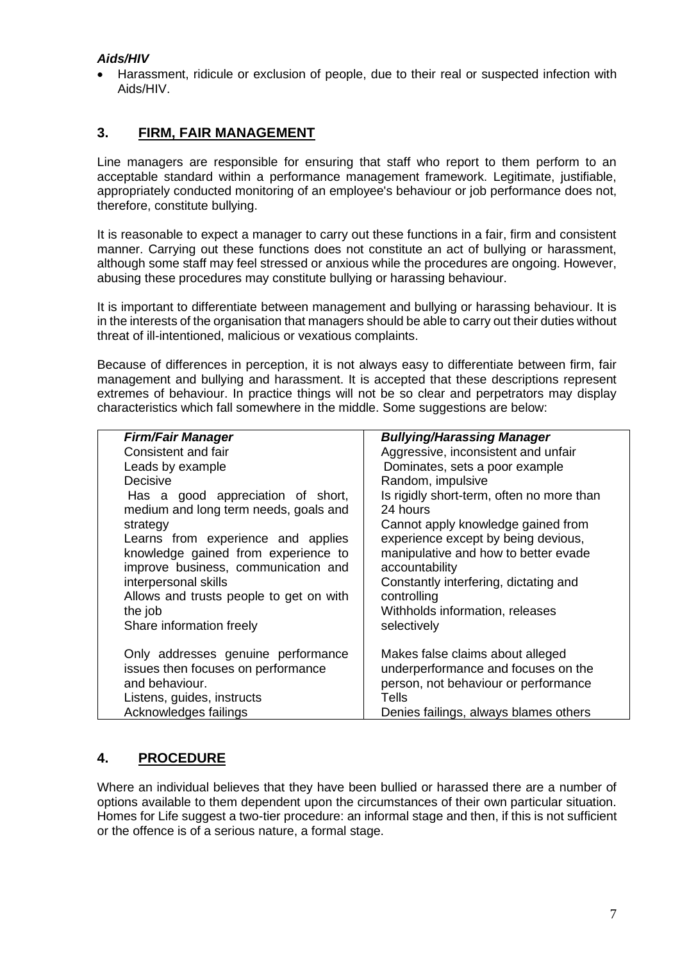### *Aids/HIV*

• Harassment, ridicule or exclusion of people, due to their real or suspected infection with Aids/HIV.

### **3. FIRM, FAIR MANAGEMENT**

Line managers are responsible for ensuring that staff who report to them perform to an acceptable standard within a performance management framework. Legitimate, justifiable, appropriately conducted monitoring of an employee's behaviour or job performance does not, therefore, constitute bullying.

It is reasonable to expect a manager to carry out these functions in a fair, firm and consistent manner. Carrying out these functions does not constitute an act of bullying or harassment, although some staff may feel stressed or anxious while the procedures are ongoing. However, abusing these procedures may constitute bullying or harassing behaviour.

It is important to differentiate between management and bullying or harassing behaviour. It is in the interests of the organisation that managers should be able to carry out their duties without threat of ill-intentioned, malicious or vexatious complaints.

Because of differences in perception, it is not always easy to differentiate between firm, fair management and bullying and harassment. It is accepted that these descriptions represent extremes of behaviour. In practice things will not be so clear and perpetrators may display characteristics which fall somewhere in the middle. Some suggestions are below:

| <b>Firm/Fair Manager</b>                | <b>Bullying/Harassing Manager</b>         |
|-----------------------------------------|-------------------------------------------|
| Consistent and fair                     | Aggressive, inconsistent and unfair       |
| Leads by example                        | Dominates, sets a poor example            |
| Decisive                                | Random, impulsive                         |
| Has a good appreciation of short,       | Is rigidly short-term, often no more than |
| medium and long term needs, goals and   | 24 hours                                  |
| strategy                                | Cannot apply knowledge gained from        |
| Learns from experience and applies      | experience except by being devious,       |
| knowledge gained from experience to     | manipulative and how to better evade      |
| improve business, communication and     | accountability                            |
| interpersonal skills                    | Constantly interfering, dictating and     |
| Allows and trusts people to get on with | controlling                               |
| the job                                 | Withholds information, releases           |
| Share information freely                | selectively                               |
|                                         |                                           |
| Only addresses genuine performance      | Makes false claims about alleged          |
| issues then focuses on performance      | underperformance and focuses on the       |
| and behaviour.                          | person, not behaviour or performance      |
| Listens, guides, instructs              | Tells                                     |
| Acknowledges failings                   | Denies failings, always blames others     |
|                                         |                                           |

## **4. PROCEDURE**

Where an individual believes that they have been bullied or harassed there are a number of options available to them dependent upon the circumstances of their own particular situation. Homes for Life suggest a two-tier procedure: an informal stage and then, if this is not sufficient or the offence is of a serious nature, a formal stage.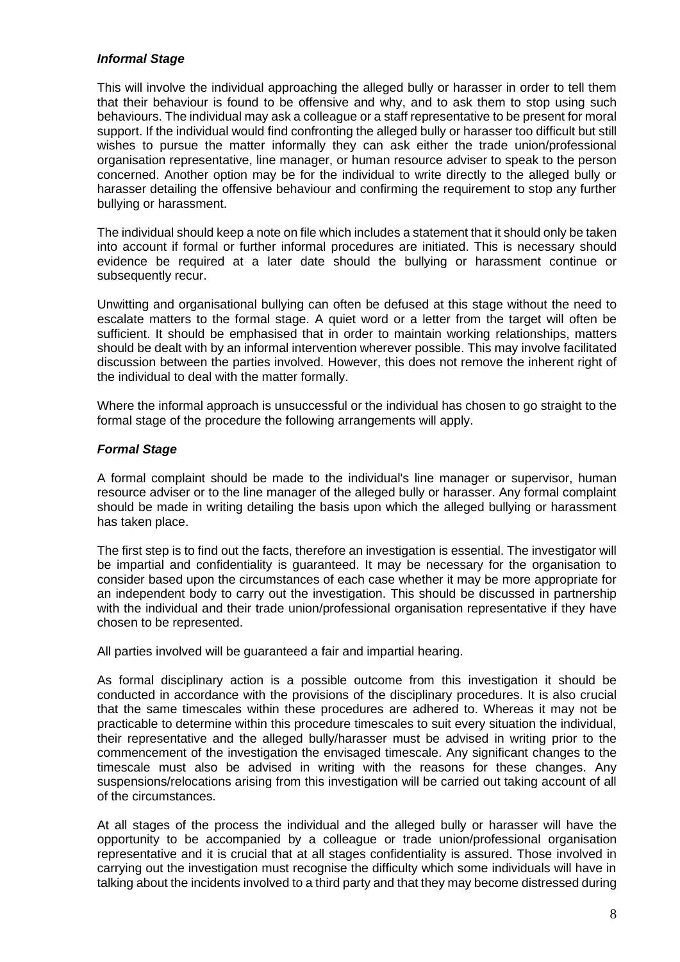#### *Informal Stage*

This will involve the individual approaching the alleged bully or harasser in order to tell them that their behaviour is found to be offensive and why, and to ask them to stop using such behaviours. The individual may ask a colleague or a staff representative to be present for moral support. If the individual would find confronting the alleged bully or harasser too difficult but still wishes to pursue the matter informally they can ask either the trade union/professional organisation representative, line manager, or human resource adviser to speak to the person concerned. Another option may be for the individual to write directly to the alleged bully or harasser detailing the offensive behaviour and confirming the requirement to stop any further bullying or harassment.

The individual should keep a note on file which includes a statement that it should only be taken into account if formal or further informal procedures are initiated. This is necessary should evidence be required at a later date should the bullying or harassment continue or subsequently recur.

Unwitting and organisational bullying can often be defused at this stage without the need to escalate matters to the formal stage. A quiet word or a letter from the target will often be sufficient. It should be emphasised that in order to maintain working relationships, matters should be dealt with by an informal intervention wherever possible. This may involve facilitated discussion between the parties involved. However, this does not remove the inherent right of the individual to deal with the matter formally.

Where the informal approach is unsuccessful or the individual has chosen to go straight to the formal stage of the procedure the following arrangements will apply.

#### *Formal Stage*

A formal complaint should be made to the individual's line manager or supervisor, human resource adviser or to the line manager of the alleged bully or harasser. Any formal complaint should be made in writing detailing the basis upon which the alleged bullying or harassment has taken place.

The first step is to find out the facts, therefore an investigation is essential. The investigator will be impartial and confidentiality is guaranteed. It may be necessary for the organisation to consider based upon the circumstances of each case whether it may be more appropriate for an independent body to carry out the investigation. This should be discussed in partnership with the individual and their trade union/professional organisation representative if they have chosen to be represented.

All parties involved will be guaranteed a fair and impartial hearing.

As formal disciplinary action is a possible outcome from this investigation it should be conducted in accordance with the provisions of the disciplinary procedures. It is also crucial that the same timescales within these procedures are adhered to. Whereas it may not be practicable to determine within this procedure timescales to suit every situation the individual, their representative and the alleged bully/harasser must be advised in writing prior to the commencement of the investigation the envisaged timescale. Any significant changes to the timescale must also be advised in writing with the reasons for these changes. Any suspensions/relocations arising from this investigation will be carried out taking account of all of the circumstances.

At all stages of the process the individual and the alleged bully or harasser will have the opportunity to be accompanied by a colleague or trade union/professional organisation representative and it is crucial that at all stages confidentiality is assured. Those involved in carrying out the investigation must recognise the difficulty which some individuals will have in talking about the incidents involved to a third party and that they may become distressed during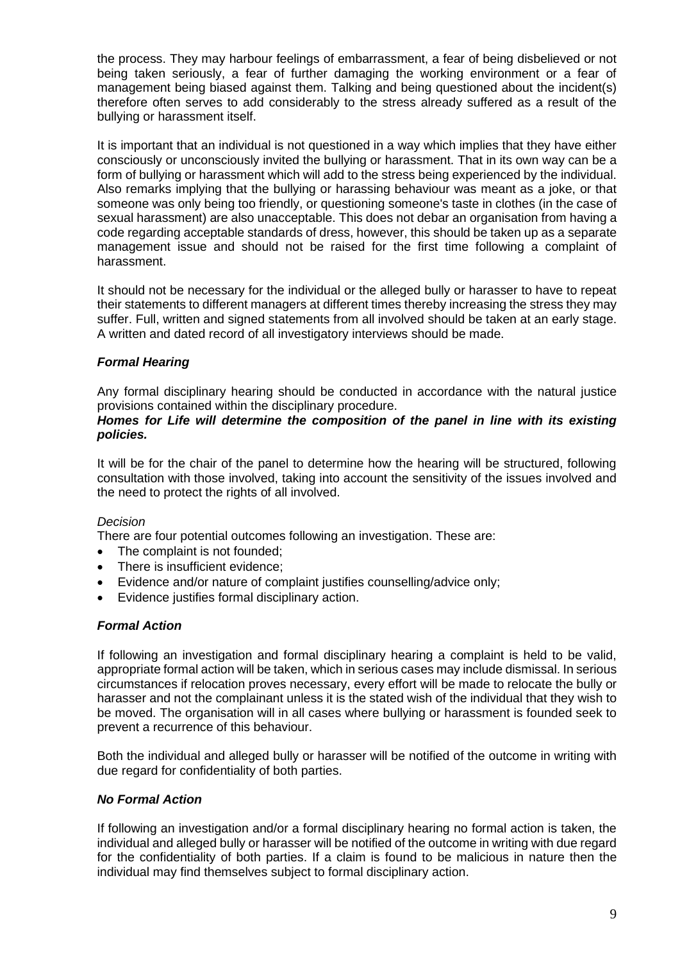the process. They may harbour feelings of embarrassment, a fear of being disbelieved or not being taken seriously, a fear of further damaging the working environment or a fear of management being biased against them. Talking and being questioned about the incident(s) therefore often serves to add considerably to the stress already suffered as a result of the bullying or harassment itself.

It is important that an individual is not questioned in a way which implies that they have either consciously or unconsciously invited the bullying or harassment. That in its own way can be a form of bullying or harassment which will add to the stress being experienced by the individual. Also remarks implying that the bullying or harassing behaviour was meant as a joke, or that someone was only being too friendly, or questioning someone's taste in clothes (in the case of sexual harassment) are also unacceptable. This does not debar an organisation from having a code regarding acceptable standards of dress, however, this should be taken up as a separate management issue and should not be raised for the first time following a complaint of harassment.

It should not be necessary for the individual or the alleged bully or harasser to have to repeat their statements to different managers at different times thereby increasing the stress they may suffer. Full, written and signed statements from all involved should be taken at an early stage. A written and dated record of all investigatory interviews should be made.

#### *Formal Hearing*

Any formal disciplinary hearing should be conducted in accordance with the natural justice provisions contained within the disciplinary procedure.

#### *Homes for Life will determine the composition of the panel in line with its existing policies.*

It will be for the chair of the panel to determine how the hearing will be structured, following consultation with those involved, taking into account the sensitivity of the issues involved and the need to protect the rights of all involved.

#### *Decision*

There are four potential outcomes following an investigation. These are:

- The complaint is not founded;
- There is insufficient evidence:
- Evidence and/or nature of complaint justifies counselling/advice only;
- Evidence justifies formal disciplinary action.

#### *Formal Action*

If following an investigation and formal disciplinary hearing a complaint is held to be valid, appropriate formal action will be taken, which in serious cases may include dismissal. In serious circumstances if relocation proves necessary, every effort will be made to relocate the bully or harasser and not the complainant unless it is the stated wish of the individual that they wish to be moved. The organisation will in all cases where bullying or harassment is founded seek to prevent a recurrence of this behaviour.

Both the individual and alleged bully or harasser will be notified of the outcome in writing with due regard for confidentiality of both parties.

#### *No Formal Action*

If following an investigation and/or a formal disciplinary hearing no formal action is taken, the individual and alleged bully or harasser will be notified of the outcome in writing with due regard for the confidentiality of both parties. If a claim is found to be malicious in nature then the individual may find themselves subject to formal disciplinary action.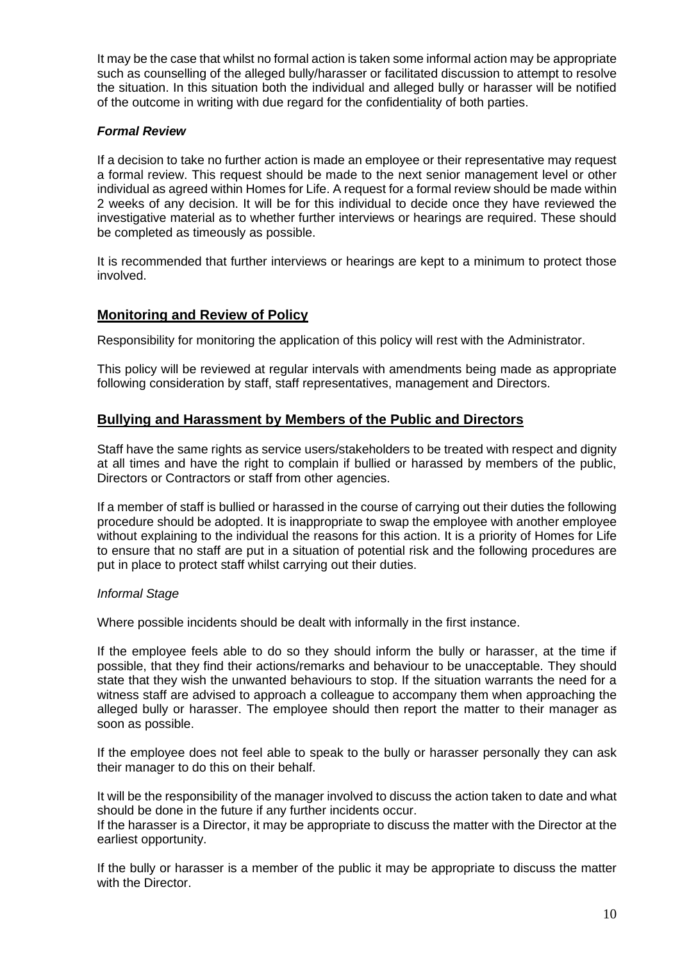It may be the case that whilst no formal action is taken some informal action may be appropriate such as counselling of the alleged bully/harasser or facilitated discussion to attempt to resolve the situation. In this situation both the individual and alleged bully or harasser will be notified of the outcome in writing with due regard for the confidentiality of both parties.

#### *Formal Review*

If a decision to take no further action is made an employee or their representative may request a formal review. This request should be made to the next senior management level or other individual as agreed within Homes for Life. A request for a formal review should be made within 2 weeks of any decision. It will be for this individual to decide once they have reviewed the investigative material as to whether further interviews or hearings are required. These should be completed as timeously as possible.

It is recommended that further interviews or hearings are kept to a minimum to protect those involved.

## **Monitoring and Review of Policy**

Responsibility for monitoring the application of this policy will rest with the Administrator.

This policy will be reviewed at regular intervals with amendments being made as appropriate following consideration by staff, staff representatives, management and Directors.

#### **Bullying and Harassment by Members of the Public and Directors**

Staff have the same rights as service users/stakeholders to be treated with respect and dignity at all times and have the right to complain if bullied or harassed by members of the public, Directors or Contractors or staff from other agencies.

If a member of staff is bullied or harassed in the course of carrying out their duties the following procedure should be adopted. It is inappropriate to swap the employee with another employee without explaining to the individual the reasons for this action. It is a priority of Homes for Life to ensure that no staff are put in a situation of potential risk and the following procedures are put in place to protect staff whilst carrying out their duties.

#### *Informal Stage*

Where possible incidents should be dealt with informally in the first instance.

If the employee feels able to do so they should inform the bully or harasser, at the time if possible, that they find their actions/remarks and behaviour to be unacceptable. They should state that they wish the unwanted behaviours to stop. If the situation warrants the need for a witness staff are advised to approach a colleague to accompany them when approaching the alleged bully or harasser. The employee should then report the matter to their manager as soon as possible.

If the employee does not feel able to speak to the bully or harasser personally they can ask their manager to do this on their behalf.

It will be the responsibility of the manager involved to discuss the action taken to date and what should be done in the future if any further incidents occur.

If the harasser is a Director, it may be appropriate to discuss the matter with the Director at the earliest opportunity.

If the bully or harasser is a member of the public it may be appropriate to discuss the matter with the Director.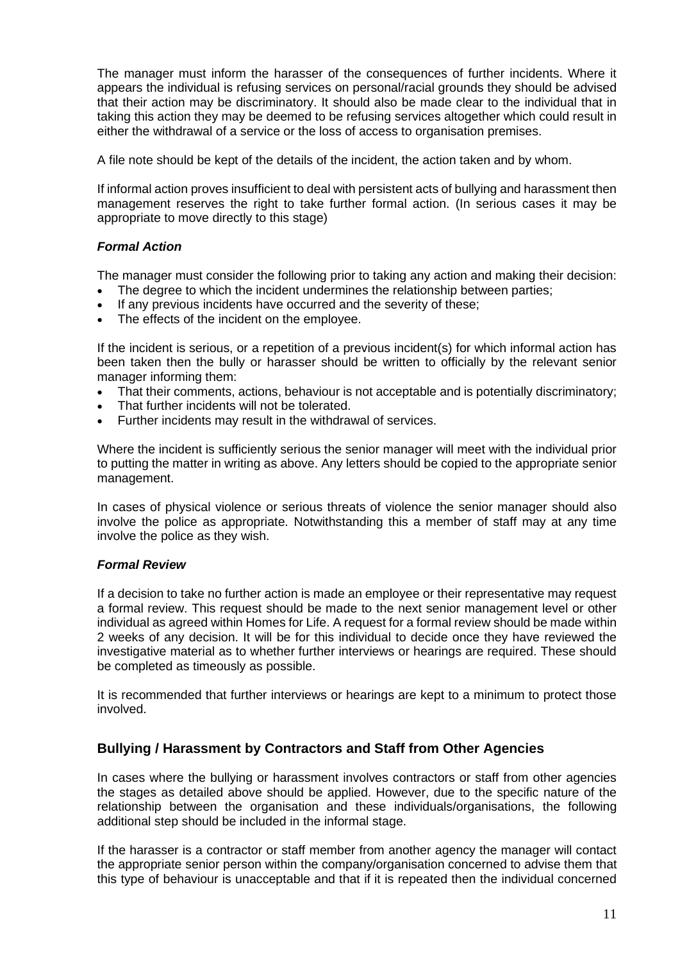The manager must inform the harasser of the consequences of further incidents. Where it appears the individual is refusing services on personal/racial grounds they should be advised that their action may be discriminatory. It should also be made clear to the individual that in taking this action they may be deemed to be refusing services altogether which could result in either the withdrawal of a service or the loss of access to organisation premises.

A file note should be kept of the details of the incident, the action taken and by whom.

If informal action proves insufficient to deal with persistent acts of bullying and harassment then management reserves the right to take further formal action. (In serious cases it may be appropriate to move directly to this stage)

#### *Formal Action*

The manager must consider the following prior to taking any action and making their decision:

- The degree to which the incident undermines the relationship between parties;
- If any previous incidents have occurred and the severity of these;
- The effects of the incident on the employee.

If the incident is serious, or a repetition of a previous incident(s) for which informal action has been taken then the bully or harasser should be written to officially by the relevant senior manager informing them:

- That their comments, actions, behaviour is not acceptable and is potentially discriminatory;
- That further incidents will not be tolerated.
- Further incidents may result in the withdrawal of services.

Where the incident is sufficiently serious the senior manager will meet with the individual prior to putting the matter in writing as above. Any letters should be copied to the appropriate senior management.

In cases of physical violence or serious threats of violence the senior manager should also involve the police as appropriate. Notwithstanding this a member of staff may at any time involve the police as they wish.

#### *Formal Review*

If a decision to take no further action is made an employee or their representative may request a formal review. This request should be made to the next senior management level or other individual as agreed within Homes for Life. A request for a formal review should be made within 2 weeks of any decision. It will be for this individual to decide once they have reviewed the investigative material as to whether further interviews or hearings are required. These should be completed as timeously as possible.

It is recommended that further interviews or hearings are kept to a minimum to protect those involved.

#### **Bullying / Harassment by Contractors and Staff from Other Agencies**

In cases where the bullying or harassment involves contractors or staff from other agencies the stages as detailed above should be applied. However, due to the specific nature of the relationship between the organisation and these individuals/organisations, the following additional step should be included in the informal stage.

If the harasser is a contractor or staff member from another agency the manager will contact the appropriate senior person within the company/organisation concerned to advise them that this type of behaviour is unacceptable and that if it is repeated then the individual concerned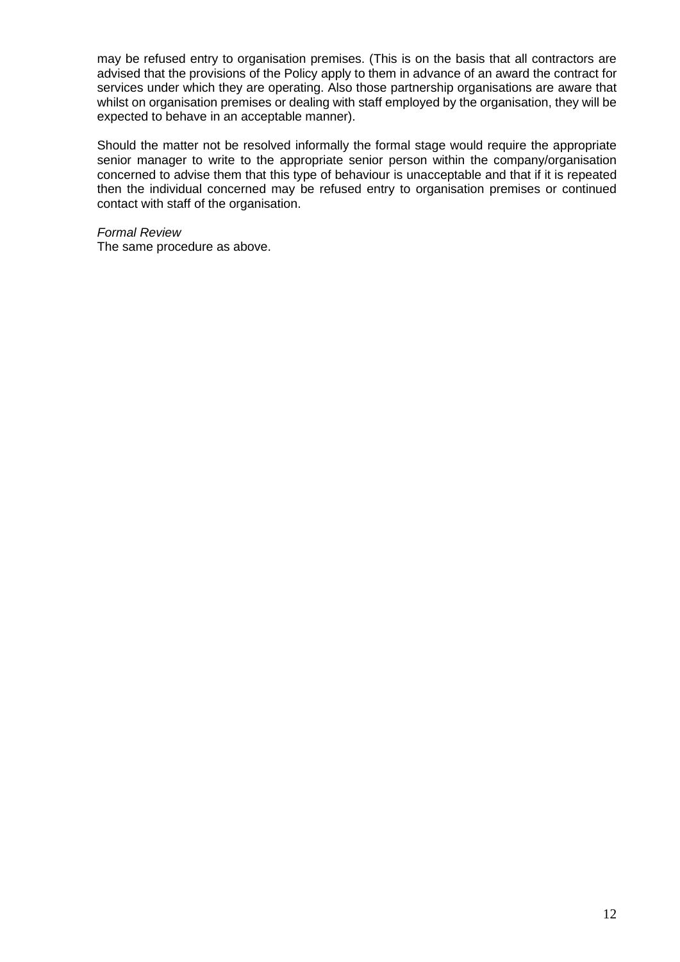may be refused entry to organisation premises. (This is on the basis that all contractors are advised that the provisions of the Policy apply to them in advance of an award the contract for services under which they are operating. Also those partnership organisations are aware that whilst on organisation premises or dealing with staff employed by the organisation, they will be expected to behave in an acceptable manner).

Should the matter not be resolved informally the formal stage would require the appropriate senior manager to write to the appropriate senior person within the company/organisation concerned to advise them that this type of behaviour is unacceptable and that if it is repeated then the individual concerned may be refused entry to organisation premises or continued contact with staff of the organisation.

#### *Formal Review*

The same procedure as above.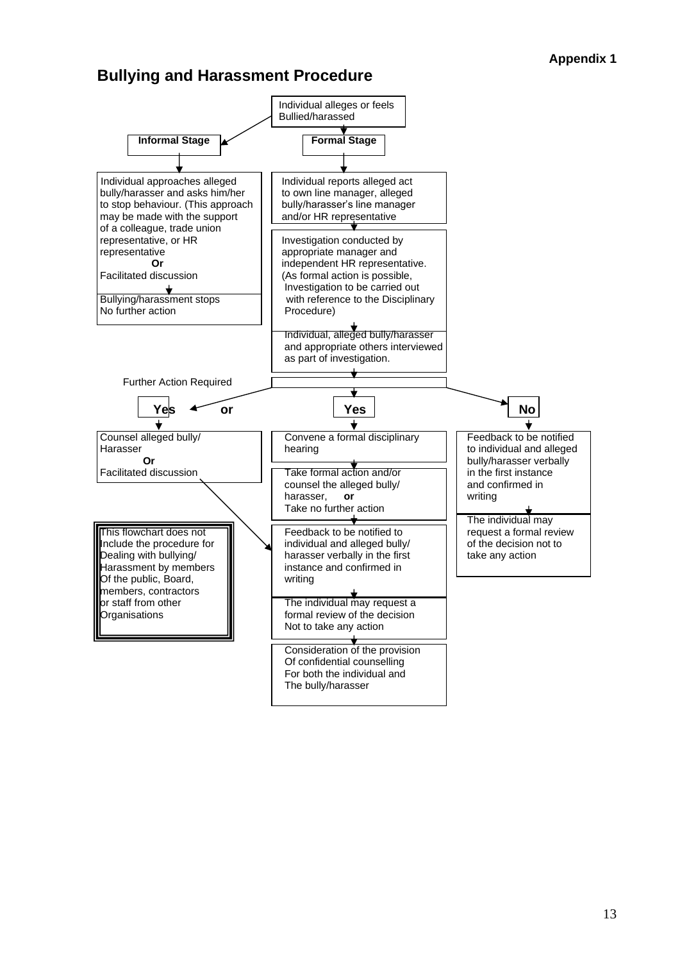## **Bullying and Harassment Procedure**